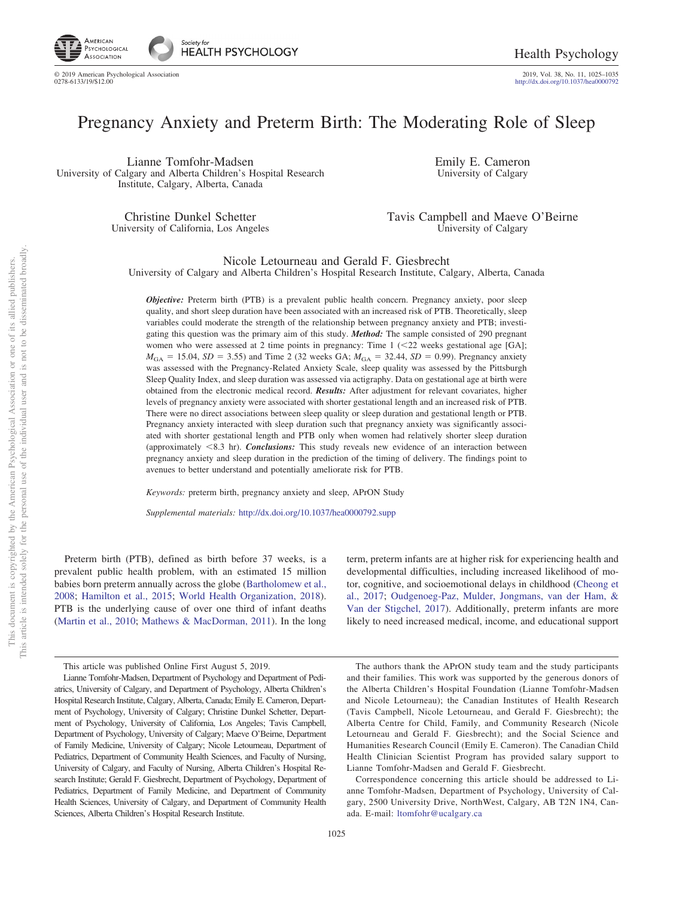

2019, Vol. 38, No. 11, 1025-1035<br>http://dx.doi.org[/10.1037/hea0000792](http://dx.doi.org/10.1037/hea0000792)

# Pregnancy Anxiety and Preterm Birth: The Moderating Role of Sleep

Lianne Tomfohr-Madsen University of Calgary and Alberta Children's Hospital Research Institute, Calgary, Alberta, Canada

> Christine Dunkel Schetter University of California, Los Angeles

Emily E. Cameron University of Calgary

Tavis Campbell and Maeve O'Beirne University of Calgary

Nicole Letourneau and Gerald F. Giesbrecht

University of Calgary and Alberta Children's Hospital Research Institute, Calgary, Alberta, Canada

*Objective:* Preterm birth (PTB) is a prevalent public health concern. Pregnancy anxiety, poor sleep quality, and short sleep duration have been associated with an increased risk of PTB. Theoretically, sleep variables could moderate the strength of the relationship between pregnancy anxiety and PTB; investigating this question was the primary aim of this study. *Method:* The sample consisted of 290 pregnant women who were assessed at 2 time points in pregnancy: Time  $1$  ( $\leq$ 22 weeks gestational age [GA];  $M_{\text{GA}} = 15.04$ , *SD* = 3.55) and Time 2 (32 weeks GA;  $M_{\text{GA}} = 32.44$ , *SD* = 0.99). Pregnancy anxiety was assessed with the Pregnancy-Related Anxiety Scale, sleep quality was assessed by the Pittsburgh Sleep Quality Index, and sleep duration was assessed via actigraphy. Data on gestational age at birth were obtained from the electronic medical record. *Results:* After adjustment for relevant covariates, higher levels of pregnancy anxiety were associated with shorter gestational length and an increased risk of PTB. There were no direct associations between sleep quality or sleep duration and gestational length or PTB. Pregnancy anxiety interacted with sleep duration such that pregnancy anxiety was significantly associated with shorter gestational length and PTB only when women had relatively shorter sleep duration (approximately -8.3 hr). *Conclusions:* This study reveals new evidence of an interaction between pregnancy anxiety and sleep duration in the prediction of the timing of delivery. The findings point to avenues to better understand and potentially ameliorate risk for PTB.

*Keywords:* preterm birth, pregnancy anxiety and sleep, APrON Study

*Supplemental materials:* http://dx.doi.org[/10.1037/hea0000792.supp](http://dx.doi.org/10.1037/hea0000792.supp)

Preterm birth (PTB), defined as birth before 37 weeks, is a prevalent public health problem, with an estimated 15 million babies born preterm annually across the globe [\(Bartholomew et al.,](#page-7-0) [2008;](#page-7-0) [Hamilton et al., 2015;](#page-8-0) [World Health Organization, 2018\)](#page-10-0). PTB is the underlying cause of over one third of infant deaths [\(Martin et al., 2010;](#page-9-0) [Mathews & MacDorman, 2011\)](#page-9-1). In the long term, preterm infants are at higher risk for experiencing health and developmental difficulties, including increased likelihood of motor, cognitive, and socioemotional delays in childhood [\(Cheong et](#page-7-1) [al., 2017;](#page-7-1) [Oudgenoeg-Paz, Mulder, Jongmans, van der Ham, &](#page-9-2) [Van der Stigchel, 2017\)](#page-9-2). Additionally, preterm infants are more likely to need increased medical, income, and educational support

The authors thank the APrON study team and the study participants and their families. This work was supported by the generous donors of the Alberta Children's Hospital Foundation (Lianne Tomfohr-Madsen and Nicole Letourneau); the Canadian Institutes of Health Research (Tavis Campbell, Nicole Letourneau, and Gerald F. Giesbrecht); the Alberta Centre for Child, Family, and Community Research (Nicole Letourneau and Gerald F. Giesbrecht); and the Social Science and Humanities Research Council (Emily E. Cameron). The Canadian Child Health Clinician Scientist Program has provided salary support to Lianne Tomfohr-Madsen and Gerald F. Giesbrecht.

Correspondence concerning this article should be addressed to Lianne Tomfohr-Madsen, Department of Psychology, University of Calgary, 2500 University Drive, NorthWest, Calgary, AB T2N 1N4, Canada. E-mail: [ltomfohr@ucalgary.ca](mailto:ltomfohr@ucalgary.ca)

This article was published Online First August 5, 2019.

Lianne Tomfohr-Madsen, Department of Psychology and Department of Pediatrics, University of Calgary, and Department of Psychology, Alberta Children's Hospital Research Institute, Calgary, Alberta, Canada; Emily E. Cameron, Department of Psychology, University of Calgary; Christine Dunkel Schetter, Department of Psychology, University of California, Los Angeles; Tavis Campbell, Department of Psychology, University of Calgary; Maeve O'Beirne, Department of Family Medicine, University of Calgary; Nicole Letourneau, Department of Pediatrics, Department of Community Health Sciences, and Faculty of Nursing, University of Calgary, and Faculty of Nursing, Alberta Children's Hospital Research Institute; Gerald F. Giesbrecht, Department of Psychology, Department of Pediatrics, Department of Family Medicine, and Department of Community Health Sciences, University of Calgary, and Department of Community Health Sciences, Alberta Children's Hospital Research Institute.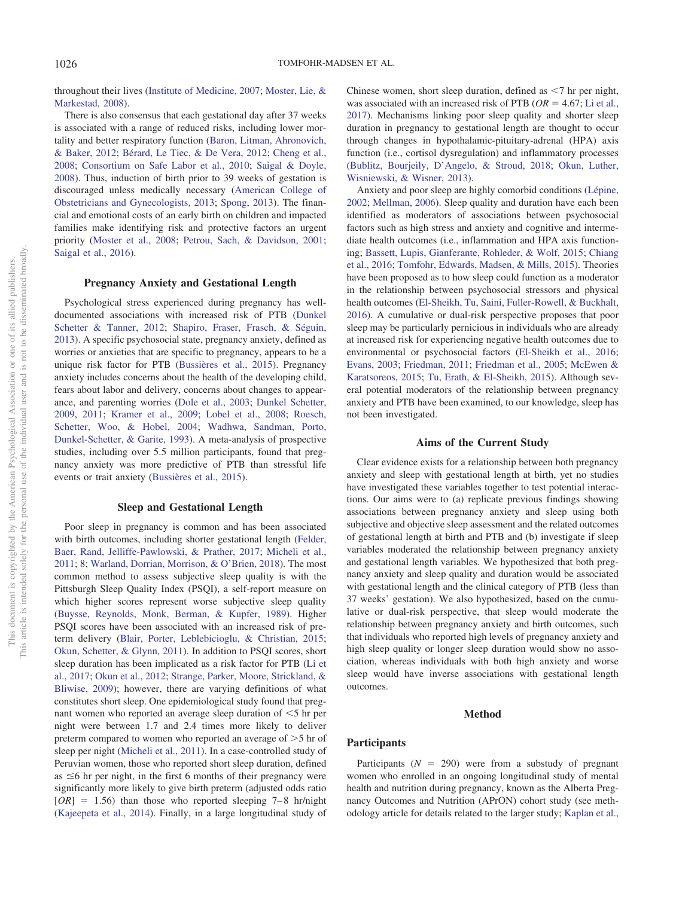throughout their lives [\(Institute of Medicine, 2007;](#page-8-1) [Moster, Lie, &](#page-9-3) [Markestad, 2008\)](#page-9-3).

There is also consensus that each gestational day after 37 weeks is associated with a range of reduced risks, including lower mortality and better respiratory function [\(Baron, Litman, Ahronovich,](#page-7-2) [& Baker, 2012;](#page-7-2) [Bérard, Le Tiec, & De Vera, 2012;](#page-7-3) [Cheng et al.,](#page-7-4) [2008;](#page-7-4) [Consortium on Safe Labor et al., 2010;](#page-7-5) [Saigal & Doyle,](#page-9-4) [2008\)](#page-9-4). Thus, induction of birth prior to 39 weeks of gestation is discouraged unless medically necessary [\(American College of](#page-7-6) [Obstetricians and Gynecologists, 2013;](#page-7-6) [Spong, 2013\)](#page-9-5). The financial and emotional costs of an early birth on children and impacted families make identifying risk and protective factors an urgent priority [\(Moster et al., 2008;](#page-9-3) [Petrou, Sach, & Davidson, 2001;](#page-9-6) [Saigal et al., 2016\)](#page-9-7).

# **Pregnancy Anxiety and Gestational Length**

Psychological stress experienced during pregnancy has welldocumented associations with increased risk of PTB [\(Dunkel](#page-8-2) [Schetter & Tanner, 2012;](#page-8-2) [Shapiro, Fraser, Frasch, & Séguin,](#page-9-8) [2013\)](#page-9-8). A specific psychosocial state, pregnancy anxiety, defined as worries or anxieties that are specific to pregnancy, appears to be a unique risk factor for PTB [\(Bussières et al., 2015\)](#page-7-7). Pregnancy anxiety includes concerns about the health of the developing child, fears about labor and delivery, concerns about changes to appearance, and parenting worries [\(Dole et al., 2003;](#page-7-8) [Dunkel Schetter,](#page-8-3) [2009,](#page-8-3) [2011;](#page-8-4) [Kramer et al., 2009;](#page-8-5) [Lobel et al., 2008;](#page-9-9) [Roesch,](#page-9-10) [Schetter, Woo, & Hobel, 2004;](#page-9-10) [Wadhwa, Sandman, Porto,](#page-10-1) [Dunkel-Schetter, & Garite, 1993\)](#page-10-1). A meta-analysis of prospective studies, including over 5.5 million participants, found that pregnancy anxiety was more predictive of PTB than stressful life events or trait anxiety [\(Bussières et al., 2015\)](#page-7-7).

### **Sleep and Gestational Length**

Poor sleep in pregnancy is common and has been associated with birth outcomes, including shorter gestational length [\(Felder,](#page-8-6) [Baer, Rand, Jelliffe-Pawlowski, & Prather, 2017;](#page-8-6) [Micheli et al.,](#page-9-11) [2011;](#page-9-11) 8; [Warland, Dorrian, Morrison, & O'Brien, 2018\)](#page-10-2). The most common method to assess subjective sleep quality is with the Pittsburgh Sleep Quality Index (PSQI), a self-report measure on which higher scores represent worse subjective sleep quality [\(Buysse, Reynolds, Monk, Berman, & Kupfer, 1989\)](#page-7-9). Higher PSQI scores have been associated with an increased risk of preterm delivery [\(Blair, Porter, Leblebicioglu, & Christian, 2015;](#page-7-10) [Okun, Schetter, & Glynn, 2011\)](#page-9-12). In addition to PSQI scores, short sleep duration has been implicated as a risk factor for PTB [\(Li et](#page-9-13) [al., 2017;](#page-9-13) [Okun et al., 2012;](#page-9-14) [Strange, Parker, Moore, Strickland, &](#page-9-15) [Bliwise, 2009\)](#page-9-15); however, there are varying definitions of what constitutes short sleep. One epidemiological study found that pregnant women who reported an average sleep duration of  $\leq$ 5 hr per night were between 1.7 and 2.4 times more likely to deliver preterm compared to women who reported an average of  $>5$  hr of sleep per night [\(Micheli et al., 2011\)](#page-9-11). In a case-controlled study of Peruvian women, those who reported short sleep duration, defined as  $\leq$ 6 hr per night, in the first 6 months of their pregnancy were significantly more likely to give birth preterm (adjusted odds ratio  $[OR] = 1.56$ ) than those who reported sleeping 7–8 hr/night [\(Kajeepeta et al., 2014\)](#page-8-7). Finally, in a large longitudinal study of

Chinese women, short sleep duration, defined as  $\leq 7$  hr per night, was associated with an increased risk of PTB ( $OR = 4.67$ ; [Li et al.,](#page-9-13) [2017\)](#page-9-13). Mechanisms linking poor sleep quality and shorter sleep duration in pregnancy to gestational length are thought to occur through changes in hypothalamic-pituitary-adrenal (HPA) axis function (i.e., cortisol dysregulation) and inflammatory processes [\(Bublitz, Bourjeily, D'Angelo, & Stroud, 2018;](#page-7-11) [Okun, Luther,](#page-9-16) [Wisniewski, & Wisner, 2013\)](#page-9-16).

Anxiety and poor sleep are highly comorbid conditions [\(Lépine,](#page-8-8) [2002;](#page-8-8) [Mellman, 2006\)](#page-9-17). Sleep quality and duration have each been identified as moderators of associations between psychosocial factors such as high stress and anxiety and cognitive and intermediate health outcomes (i.e., inflammation and HPA axis functioning; [Bassett, Lupis, Gianferante, Rohleder, & Wolf, 2015;](#page-7-12) [Chiang](#page-7-13) [et al., 2016;](#page-7-13) [Tomfohr, Edwards, Madsen, & Mills, 2015\)](#page-10-3). Theories have been proposed as to how sleep could function as a moderator in the relationship between psychosocial stressors and physical health outcomes [\(El-Sheikh, Tu, Saini, Fuller-Rowell, & Buckhalt,](#page-8-9) [2016\)](#page-8-9). A cumulative or dual-risk perspective proposes that poor sleep may be particularly pernicious in individuals who are already at increased risk for experiencing negative health outcomes due to environmental or psychosocial factors [\(El-Sheikh et al., 2016;](#page-8-9) [Evans, 2003;](#page-8-10) [Friedman, 2011;](#page-8-11) [Friedman et al., 2005;](#page-8-12) [McEwen &](#page-9-18) [Karatsoreos, 2015;](#page-9-18) [Tu, Erath, & El-Sheikh, 2015\)](#page-10-4). Although several potential moderators of the relationship between pregnancy anxiety and PTB have been examined, to our knowledge, sleep has not been investigated.

## **Aims of the Current Study**

Clear evidence exists for a relationship between both pregnancy anxiety and sleep with gestational length at birth, yet no studies have investigated these variables together to test potential interactions. Our aims were to (a) replicate previous findings showing associations between pregnancy anxiety and sleep using both subjective and objective sleep assessment and the related outcomes of gestational length at birth and PTB and (b) investigate if sleep variables moderated the relationship between pregnancy anxiety and gestational length variables. We hypothesized that both pregnancy anxiety and sleep quality and duration would be associated with gestational length and the clinical category of PTB (less than 37 weeks' gestation). We also hypothesized, based on the cumulative or dual-risk perspective, that sleep would moderate the relationship between pregnancy anxiety and birth outcomes, such that individuals who reported high levels of pregnancy anxiety and high sleep quality or longer sleep duration would show no association, whereas individuals with both high anxiety and worse sleep would have inverse associations with gestational length outcomes.

### **Method**

### **Participants**

Participants  $(N = 290)$  were from a substudy of pregnant women who enrolled in an ongoing longitudinal study of mental health and nutrition during pregnancy, known as the Alberta Pregnancy Outcomes and Nutrition (APrON) cohort study (see methodology article for details related to the larger study; [Kaplan et al.,](#page-8-13)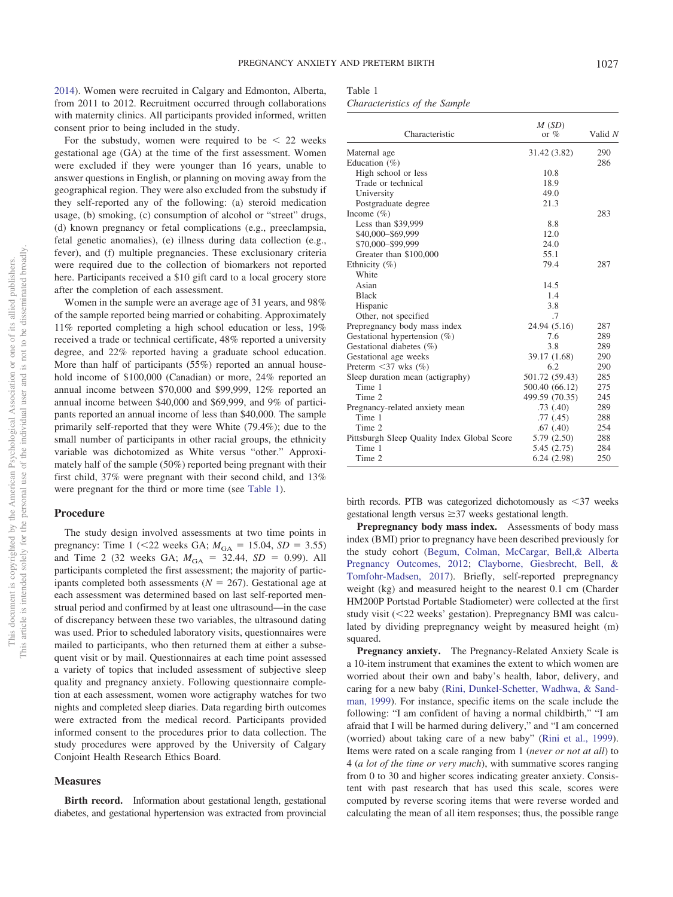[2014\)](#page-8-13). Women were recruited in Calgary and Edmonton, Alberta, from 2011 to 2012. Recruitment occurred through collaborations with maternity clinics. All participants provided informed, written consent prior to being included in the study.

For the substudy, women were required to be  $\leq 22$  weeks gestational age (GA) at the time of the first assessment. Women were excluded if they were younger than 16 years, unable to answer questions in English, or planning on moving away from the geographical region. They were also excluded from the substudy if they self-reported any of the following: (a) steroid medication usage, (b) smoking, (c) consumption of alcohol or "street" drugs, (d) known pregnancy or fetal complications (e.g., preeclampsia, fetal genetic anomalies), (e) illness during data collection (e.g., fever), and (f) multiple pregnancies. These exclusionary criteria were required due to the collection of biomarkers not reported here. Participants received a \$10 gift card to a local grocery store after the completion of each assessment.

Women in the sample were an average age of 31 years, and 98% of the sample reported being married or cohabiting. Approximately 11% reported completing a high school education or less, 19% received a trade or technical certificate, 48% reported a university degree, and 22% reported having a graduate school education. More than half of participants (55%) reported an annual household income of \$100,000 (Canadian) or more, 24% reported an annual income between \$70,000 and \$99,999, 12% reported an annual income between \$40,000 and \$69,999, and 9% of participants reported an annual income of less than \$40,000. The sample primarily self-reported that they were White (79.4%); due to the small number of participants in other racial groups, the ethnicity variable was dichotomized as White versus "other." Approximately half of the sample (50%) reported being pregnant with their first child, 37% were pregnant with their second child, and 13% were pregnant for the third or more time (see [Table 1\)](#page-2-0).

# **Procedure**

The study design involved assessments at two time points in pregnancy: Time 1 (<22 weeks GA;  $M_{\text{GA}} = 15.04$ ,  $SD = 3.55$ ) and Time 2 (32 weeks GA;  $M_{\text{GA}} = 32.44$ ,  $SD = 0.99$ ). All participants completed the first assessment; the majority of participants completed both assessments  $(N = 267)$ . Gestational age at each assessment was determined based on last self-reported menstrual period and confirmed by at least one ultrasound—in the case of discrepancy between these two variables, the ultrasound dating was used. Prior to scheduled laboratory visits, questionnaires were mailed to participants, who then returned them at either a subsequent visit or by mail. Questionnaires at each time point assessed a variety of topics that included assessment of subjective sleep quality and pregnancy anxiety. Following questionnaire completion at each assessment, women wore actigraphy watches for two nights and completed sleep diaries. Data regarding birth outcomes were extracted from the medical record. Participants provided informed consent to the procedures prior to data collection. The study procedures were approved by the University of Calgary Conjoint Health Research Ethics Board.

# **Measures**

**Birth record.** Information about gestational length, gestational diabetes, and gestational hypertension was extracted from provincial

# <span id="page-2-0"></span>Table 1

*Characteristics of the Sample*

| Characteristic                              | M(SD)<br>or $%$ | Valid N |
|---------------------------------------------|-----------------|---------|
| Maternal age                                | 31.42 (3.82)    | 290     |
| Education $(\% )$                           |                 | 286     |
| High school or less                         | 10.8            |         |
| Trade or technical                          | 18.9            |         |
| University                                  | 49.0            |         |
| Postgraduate degree                         | 21.3            |         |
| Income $(\% )$                              |                 | 283     |
| Less than \$39,999                          | 8.8             |         |
| \$40,000-\$69,999                           | 12.0            |         |
| \$70,000-\$99,999                           | 24.0            |         |
| Greater than \$100,000                      | 55.1            |         |
| Ethnicity (%)                               | 79.4            | 287     |
| White                                       |                 |         |
| Asian                                       | 14.5            |         |
| <b>Black</b>                                | 1.4             |         |
| Hispanic                                    | 3.8             |         |
| Other, not specified                        | .7              |         |
| Prepregnancy body mass index                | 24.94 (5.16)    | 287     |
| Gestational hypertension $(\%)$             | 7.6             | 289     |
| Gestational diabetes (%)                    | 3.8             | 289     |
| Gestational age weeks                       | 39.17 (1.68)    | 290     |
| Preterm $\leq$ 37 wks $(\% )$               | 6.2             | 290     |
| Sleep duration mean (actigraphy)            | 501.72 (59.43)  | 285     |
| Time 1                                      | 500.40 (66.12)  | 275     |
| Time 2                                      | 499.59 (70.35)  | 245     |
| Pregnancy-related anxiety mean              | .73(.40)        | 289     |
| Time 1                                      | .77(0.45)       | 288     |
| Time 2                                      | .67(.40)        | 254     |
| Pittsburgh Sleep Quality Index Global Score | 5.79 (2.50)     | 288     |
| Time 1                                      | 5.45 (2.75)     | 284     |
| Time 2                                      | 6.24(2.98)      | 250     |

birth records. PTB was categorized dichotomously as <37 weeks gestational length versus  $\geq$ 37 weeks gestational length.

**Prepregnancy body mass index.** Assessments of body mass index (BMI) prior to pregnancy have been described previously for the study cohort [\(Begum, Colman, McCargar, Bell,& Alberta](#page-7-14) [Pregnancy Outcomes, 2012;](#page-7-14) [Clayborne, Giesbrecht, Bell, &](#page-7-15) [Tomfohr-Madsen, 2017\)](#page-7-15). Briefly, self-reported prepregnancy weight (kg) and measured height to the nearest 0.1 cm (Charder HM200P Portstad Portable Stadiometer) were collected at the first study visit (<22 weeks' gestation). Prepregnancy BMI was calculated by dividing prepregnancy weight by measured height (m) squared.

**Pregnancy anxiety.** The Pregnancy-Related Anxiety Scale is a 10-item instrument that examines the extent to which women are worried about their own and baby's health, labor, delivery, and caring for a new baby [\(Rini, Dunkel-Schetter, Wadhwa, & Sand](#page-9-19)[man, 1999\)](#page-9-19). For instance, specific items on the scale include the following: "I am confident of having a normal childbirth," "I am afraid that I will be harmed during delivery," and "I am concerned (worried) about taking care of a new baby" [\(Rini et al., 1999\)](#page-9-19). Items were rated on a scale ranging from 1 (*never or not at all*) to 4 (*a lot of the time or very much*), with summative scores ranging from 0 to 30 and higher scores indicating greater anxiety. Consistent with past research that has used this scale, scores were computed by reverse scoring items that were reverse worded and calculating the mean of all item responses; thus, the possible range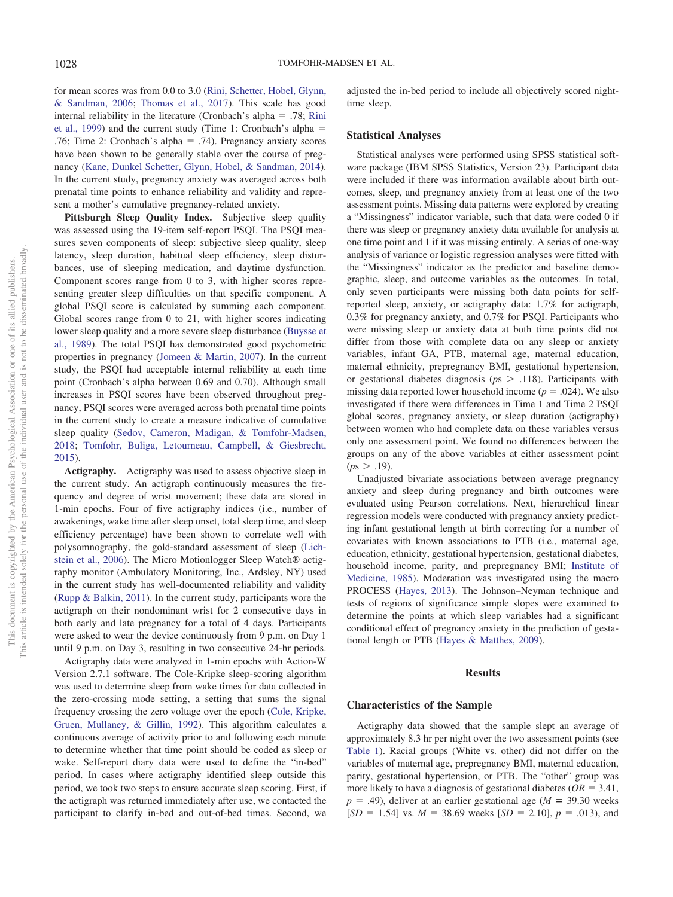for mean scores was from 0.0 to 3.0 [\(Rini, Schetter, Hobel, Glynn,](#page-9-20) [& Sandman, 2006;](#page-9-20) [Thomas et al., 2017\)](#page-10-5). This scale has good internal reliability in the literature (Cronbach's alpha  $= .78$ ; [Rini](#page-9-19) [et al., 1999\)](#page-9-19) and the current study (Time 1: Cronbach's alpha .76; Time 2: Cronbach's alpha  $= .74$ ). Pregnancy anxiety scores have been shown to be generally stable over the course of pregnancy [\(Kane, Dunkel Schetter, Glynn, Hobel, & Sandman, 2014\)](#page-8-14). In the current study, pregnancy anxiety was averaged across both prenatal time points to enhance reliability and validity and represent a mother's cumulative pregnancy-related anxiety.

Pittsburgh Sleep Quality Index. Subjective sleep quality was assessed using the 19-item self-report PSQI. The PSQI measures seven components of sleep: subjective sleep quality, sleep latency, sleep duration, habitual sleep efficiency, sleep disturbances, use of sleeping medication, and daytime dysfunction. Component scores range from 0 to 3, with higher scores representing greater sleep difficulties on that specific component. A global PSQI score is calculated by summing each component. Global scores range from 0 to 21, with higher scores indicating lower sleep quality and a more severe sleep disturbance [\(Buysse et](#page-7-9) [al., 1989\)](#page-7-9). The total PSQI has demonstrated good psychometric properties in pregnancy [\(Jomeen & Martin, 2007\)](#page-8-15). In the current study, the PSQI had acceptable internal reliability at each time point (Cronbach's alpha between 0.69 and 0.70). Although small increases in PSQI scores have been observed throughout pregnancy, PSQI scores were averaged across both prenatal time points in the current study to create a measure indicative of cumulative sleep quality [\(Sedov, Cameron, Madigan, & Tomfohr-Madsen,](#page-9-21) [2018;](#page-9-21) [Tomfohr, Buliga, Letourneau, Campbell, & Giesbrecht,](#page-10-6) [2015\)](#page-10-6).

**Actigraphy.** Actigraphy was used to assess objective sleep in the current study. An actigraph continuously measures the frequency and degree of wrist movement; these data are stored in 1-min epochs. Four of five actigraphy indices (i.e., number of awakenings, wake time after sleep onset, total sleep time, and sleep efficiency percentage) have been shown to correlate well with polysomnography, the gold-standard assessment of sleep [\(Lich](#page-9-22)[stein et al., 2006\)](#page-9-22). The Micro Motionlogger Sleep Watch® actigraphy monitor (Ambulatory Monitoring, Inc., Ardsley, NY) used in the current study has well-documented reliability and validity [\(Rupp & Balkin, 2011\)](#page-9-23). In the current study, participants wore the actigraph on their nondominant wrist for 2 consecutive days in both early and late pregnancy for a total of 4 days. Participants were asked to wear the device continuously from 9 p.m. on Day 1 until 9 p.m. on Day 3, resulting in two consecutive 24-hr periods.

Actigraphy data were analyzed in 1-min epochs with Action-W Version 2.7.1 software. The Cole-Kripke sleep-scoring algorithm was used to determine sleep from wake times for data collected in the zero-crossing mode setting, a setting that sums the signal frequency crossing the zero voltage over the epoch [\(Cole, Kripke,](#page-7-16) [Gruen, Mullaney, & Gillin, 1992\)](#page-7-16). This algorithm calculates a continuous average of activity prior to and following each minute to determine whether that time point should be coded as sleep or wake. Self-report diary data were used to define the "in-bed" period. In cases where actigraphy identified sleep outside this period, we took two steps to ensure accurate sleep scoring. First, if the actigraph was returned immediately after use, we contacted the participant to clarify in-bed and out-of-bed times. Second, we

adjusted the in-bed period to include all objectively scored nighttime sleep.

# **Statistical Analyses**

Statistical analyses were performed using SPSS statistical software package (IBM SPSS Statistics, Version 23). Participant data were included if there was information available about birth outcomes, sleep, and pregnancy anxiety from at least one of the two assessment points. Missing data patterns were explored by creating a "Missingness" indicator variable, such that data were coded 0 if there was sleep or pregnancy anxiety data available for analysis at one time point and 1 if it was missing entirely. A series of one-way analysis of variance or logistic regression analyses were fitted with the "Missingness" indicator as the predictor and baseline demographic, sleep, and outcome variables as the outcomes. In total, only seven participants were missing both data points for selfreported sleep, anxiety, or actigraphy data: 1.7% for actigraph, 0.3% for pregnancy anxiety, and 0.7% for PSQI. Participants who were missing sleep or anxiety data at both time points did not differ from those with complete data on any sleep or anxiety variables, infant GA, PTB, maternal age, maternal education, maternal ethnicity, prepregnancy BMI, gestational hypertension, or gestational diabetes diagnosis (*p*s .118). Participants with missing data reported lower household income  $(p = .024)$ . We also investigated if there were differences in Time 1 and Time 2 PSQI global scores, pregnancy anxiety, or sleep duration (actigraphy) between women who had complete data on these variables versus only one assessment point. We found no differences between the groups on any of the above variables at either assessment point  $(ps > .19)$ .

Unadjusted bivariate associations between average pregnancy anxiety and sleep during pregnancy and birth outcomes were evaluated using Pearson correlations. Next, hierarchical linear regression models were conducted with pregnancy anxiety predicting infant gestational length at birth correcting for a number of covariates with known associations to PTB (i.e., maternal age, education, ethnicity, gestational hypertension, gestational diabetes, household income, parity, and prepregnancy BMI; [Institute of](#page-8-16) [Medicine, 1985\)](#page-8-16). Moderation was investigated using the macro PROCESS [\(Hayes, 2013\)](#page-8-17). The Johnson–Neyman technique and tests of regions of significance simple slopes were examined to determine the points at which sleep variables had a significant conditional effect of pregnancy anxiety in the prediction of gestational length or PTB [\(Hayes & Matthes, 2009\)](#page-8-18).

### **Results**

### **Characteristics of the Sample**

Actigraphy data showed that the sample slept an average of approximately 8.3 hr per night over the two assessment points (see [Table 1\)](#page-2-0). Racial groups (White vs. other) did not differ on the variables of maternal age, prepregnancy BMI, maternal education, parity, gestational hypertension, or PTB. The "other" group was more likely to have a diagnosis of gestational diabetes ( $OR = 3.41$ ,  $p = .49$ ), deliver at an earlier gestational age ( $M = 39.30$  weeks  $[SD = 1.54]$  vs.  $M = 38.69$  weeks  $[SD = 2.10]$ ,  $p = .013$ ), and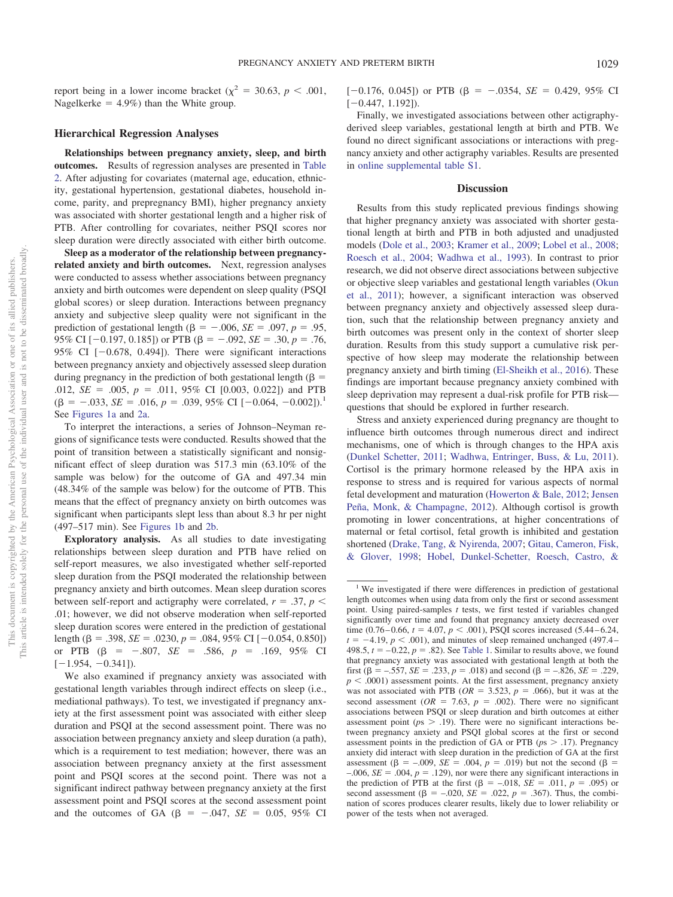report being in a lower income bracket ( $\chi^2 = 30.63$ ,  $p < .001$ , Nagelkerke  $= 4.9\%$ ) than the White group.

### **Hierarchical Regression Analyses**

**Relationships between pregnancy anxiety, sleep, and birth outcomes.** Results of regression analyses are presented in [Table](#page-5-0) [2.](#page-5-0) After adjusting for covariates (maternal age, education, ethnicity, gestational hypertension, gestational diabetes, household income, parity, and prepregnancy BMI), higher pregnancy anxiety was associated with shorter gestational length and a higher risk of PTB. After controlling for covariates, neither PSQI scores nor sleep duration were directly associated with either birth outcome.

**Sleep as a moderator of the relationship between pregnancyrelated anxiety and birth outcomes.** Next, regression analyses were conducted to assess whether associations between pregnancy anxiety and birth outcomes were dependent on sleep quality (PSQI global scores) or sleep duration. Interactions between pregnancy anxiety and subjective sleep quality were not significant in the prediction of gestational length ( $\beta = -.006$ ,  $SE = .097$ ,  $p = .95$ , 95% CI  $[-0.197, 0.185]$  or PTB  $(\beta = -.092, SE = .30, p = .76,$ 95% CI  $[-0.678, 0.494]$ . There were significant interactions between pregnancy anxiety and objectively assessed sleep duration during pregnancy in the prediction of both gestational length ( $\beta$  = .012,  $SE = .005$ ,  $p = .011$ , 95% CI [0.003, 0.022]) and PTB  $(\beta = -.033, SE = .016, p = .039, 95\% \text{ CI } [-0.064, -0.002])$ .<sup>1</sup> See [Figures 1a](#page-5-1) and [2a.](#page-6-0)

To interpret the interactions, a series of Johnson–Neyman regions of significance tests were conducted. Results showed that the point of transition between a statistically significant and nonsignificant effect of sleep duration was 517.3 min (63.10% of the sample was below) for the outcome of GA and 497.34 min (48.34% of the sample was below) for the outcome of PTB. This means that the effect of pregnancy anxiety on birth outcomes was significant when participants slept less than about 8.3 hr per night (497–517 min). See [Figures 1b](#page-5-1) and [2b.](#page-6-0)

**Exploratory analysis.** As all studies to date investigating relationships between sleep duration and PTB have relied on self-report measures, we also investigated whether self-reported sleep duration from the PSQI moderated the relationship between pregnancy anxiety and birth outcomes. Mean sleep duration scores between self-report and actigraphy were correlated,  $r = .37$ ,  $p <$ .01; however, we did not observe moderation when self-reported sleep duration scores were entered in the prediction of gestational length ( $\beta$  = .398, *SE* = .0230,  $p$  = .084, 95% CI [-0.054, 0.850]) or PTB  $(\beta = -.807, SE = .586, p = .169, 95\% \text{ CI}$  $[-1.954, -0.341]$ .

We also examined if pregnancy anxiety was associated with gestational length variables through indirect effects on sleep (i.e., mediational pathways). To test, we investigated if pregnancy anxiety at the first assessment point was associated with either sleep duration and PSQI at the second assessment point. There was no association between pregnancy anxiety and sleep duration (a path), which is a requirement to test mediation; however, there was an association between pregnancy anxiety at the first assessment point and PSQI scores at the second point. There was not a significant indirect pathway between pregnancy anxiety at the first assessment point and PSQI scores at the second assessment point and the outcomes of GA ( $\beta$  = -.047, *SE* = 0.05, 95% CI [ $-0.176$ , 0.045]) or PTB ( $\beta = -.0354$ , *SE* = 0.429, 95% CI  $[-0.447, 1.192]$ .

Finally, we investigated associations between other actigraphyderived sleep variables, gestational length at birth and PTB. We found no direct significant associations or interactions with pregnancy anxiety and other actigraphy variables. Results are presented in [online supplemental table S1.](http://dx.doi.org/10.1037/hea0000792.supp)

# **Discussion**

Results from this study replicated previous findings showing that higher pregnancy anxiety was associated with shorter gestational length at birth and PTB in both adjusted and unadjusted models [\(Dole et al., 2003;](#page-7-8) [Kramer et al., 2009;](#page-8-5) [Lobel et al., 2008;](#page-9-9) [Roesch et al., 2004;](#page-9-10) [Wadhwa et al., 1993\)](#page-10-1). In contrast to prior research, we did not observe direct associations between subjective or objective sleep variables and gestational length variables [\(Okun](#page-9-12) [et al., 2011\)](#page-9-12); however, a significant interaction was observed between pregnancy anxiety and objectively assessed sleep duration, such that the relationship between pregnancy anxiety and birth outcomes was present only in the context of shorter sleep duration. Results from this study support a cumulative risk perspective of how sleep may moderate the relationship between pregnancy anxiety and birth timing [\(El-Sheikh et al., 2016\)](#page-8-9). These findings are important because pregnancy anxiety combined with sleep deprivation may represent a dual-risk profile for PTB risk questions that should be explored in further research.

Stress and anxiety experienced during pregnancy are thought to influence birth outcomes through numerous direct and indirect mechanisms, one of which is through changes to the HPA axis [\(Dunkel Schetter, 2011;](#page-8-4) [Wadhwa, Entringer, Buss, & Lu, 2011\)](#page-10-7). Cortisol is the primary hormone released by the HPA axis in response to stress and is required for various aspects of normal fetal development and maturation [\(Howerton & Bale, 2012;](#page-8-19) [Jensen](#page-8-20) [Peña, Monk, & Champagne, 2012\)](#page-8-20). Although cortisol is growth promoting in lower concentrations, at higher concentrations of maternal or fetal cortisol, fetal growth is inhibited and gestation shortened [\(Drake, Tang, & Nyirenda, 2007;](#page-7-17) [Gitau, Cameron, Fisk,](#page-8-21) [& Glover, 1998;](#page-8-21) [Hobel, Dunkel-Schetter, Roesch, Castro, &](#page-8-22)

<sup>&</sup>lt;sup>1</sup> We investigated if there were differences in prediction of gestational length outcomes when using data from only the first or second assessment point. Using paired-samples *t* tests, we first tested if variables changed significantly over time and found that pregnancy anxiety decreased over time (0.76–0.66,  $t = 4.07$ ,  $p < .001$ ), PSQI scores increased (5.44–6.24,  $t = -4.19$ ,  $p < .001$ ), and minutes of sleep remained unchanged (497.4– 498.5,  $t = -0.22$ ,  $p = .82$ ). See [Table 1.](#page-2-0) Similar to results above, we found that pregnancy anxiety was associated with gestational length at both the first ( $\beta$  = -.557, *SE* = .233, *p* = .018) and second ( $\beta$  = -.826, *SE* = .229,  $p < .0001$ ) assessment points. At the first assessment, pregnancy anxiety was not associated with PTB ( $OR = 3.523$ ,  $p = .066$ ), but it was at the second assessment ( $OR = 7.63$ ,  $p = .002$ ). There were no significant associations between PSQI or sleep duration and birth outcomes at either assessment point ( $p_s > .19$ ). There were no significant interactions between pregnancy anxiety and PSQI global scores at the first or second assessment points in the prediction of GA or PTB ( $p_s$  > .17). Pregnancy anxiety did interact with sleep duration in the prediction of GA at the first assessment ( $\beta$  = -.009, *SE* = .004, *p* = .019) but not the second ( $\beta$  =  $-0.006$ , *SE* = .004,  $p = .129$ ), nor were there any significant interactions in the prediction of PTB at the first  $(\beta = -.018, \overline{SE} = .011, p = .095)$  or second assessment ( $\beta$  = -.020, *SE* = .022, *p* = .367). Thus, the combination of scores produces clearer results, likely due to lower reliability or power of the tests when not averaged.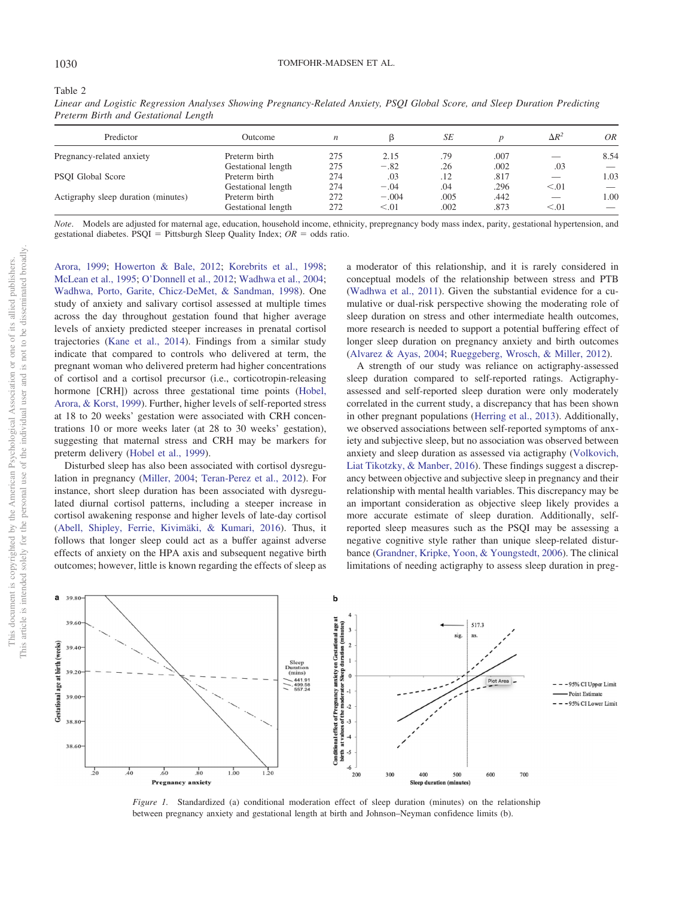<span id="page-5-0"></span>Table 2

| Predictor                           | Outcome            | n   |         | SE   |      | $\Delta R^2$             | 0R   |
|-------------------------------------|--------------------|-----|---------|------|------|--------------------------|------|
| Pregnancy-related anxiety           | Preterm birth      | 275 | 2.15    | .79  | .007 |                          | 8.54 |
|                                     | Gestational length | 275 | $-.82$  | .26  | .002 | .03                      |      |
| PSOI Global Score                   | Preterm birth      | 274 | .03     | .12  | .817 |                          | 1.03 |
|                                     | Gestational length | 274 | $-.04$  | .04  | .296 | < 0.01                   |      |
| Actigraphy sleep duration (minutes) | Preterm birth      | 272 | $-.004$ | .005 | .442 | $\overline{\phantom{a}}$ | 1.00 |
|                                     | Gestational length | 272 | < 0.01  | .002 | .873 | < 0.01                   |      |

*Linear and Logistic Regression Analyses Showing Pregnancy-Related Anxiety, PSQI Global Score, and Sleep Duration Predicting Preterm Birth and Gestational Length*

*Note*. Models are adjusted for maternal age, education, household income, ethnicity, prepregnancy body mass index, parity, gestational hypertension, and gestational diabetes. PSQI = Pittsburgh Sleep Quality Index;  $OR =$  odds ratio.

[Arora, 1999;](#page-8-22) [Howerton & Bale, 2012;](#page-8-19) [Korebrits et al., 1998;](#page-8-23) [McLean et al., 1995;](#page-9-24) [O'Donnell et al., 2012;](#page-9-25) [Wadhwa et al., 2004;](#page-10-8) [Wadhwa, Porto, Garite, Chicz-DeMet, & Sandman, 1998\)](#page-10-9). One study of anxiety and salivary cortisol assessed at multiple times across the day throughout gestation found that higher average levels of anxiety predicted steeper increases in prenatal cortisol trajectories [\(Kane et al., 2014\)](#page-8-14). Findings from a similar study indicate that compared to controls who delivered at term, the pregnant woman who delivered preterm had higher concentrations of cortisol and a cortisol precursor (i.e., corticotropin-releasing hormone [CRH]) across three gestational time points [\(Hobel,](#page-8-24) [Arora, & Korst, 1999\)](#page-8-24). Further, higher levels of self-reported stress at 18 to 20 weeks' gestation were associated with CRH concentrations 10 or more weeks later (at 28 to 30 weeks' gestation), suggesting that maternal stress and CRH may be markers for preterm delivery [\(Hobel et al., 1999\)](#page-8-22).

Disturbed sleep has also been associated with cortisol dysregulation in pregnancy [\(Miller, 2004;](#page-9-26) [Teran-Perez et al., 2012\)](#page-9-27). For instance, short sleep duration has been associated with dysregulated diurnal cortisol patterns, including a steeper increase in cortisol awakening response and higher levels of late-day cortisol [\(Abell, Shipley, Ferrie, Kivimäki, & Kumari, 2016\)](#page-7-18). Thus, it follows that longer sleep could act as a buffer against adverse effects of anxiety on the HPA axis and subsequent negative birth outcomes; however, little is known regarding the effects of sleep as a moderator of this relationship, and it is rarely considered in conceptual models of the relationship between stress and PTB [\(Wadhwa et al., 2011\)](#page-10-7). Given the substantial evidence for a cumulative or dual-risk perspective showing the moderating role of sleep duration on stress and other intermediate health outcomes, more research is needed to support a potential buffering effect of longer sleep duration on pregnancy anxiety and birth outcomes [\(Alvarez & Ayas, 2004;](#page-7-19) [Rueggeberg, Wrosch, & Miller, 2012\)](#page-9-28).

A strength of our study was reliance on actigraphy-assessed sleep duration compared to self-reported ratings. Actigraphyassessed and self-reported sleep duration were only moderately correlated in the current study, a discrepancy that has been shown in other pregnant populations [\(Herring et al., 2013\)](#page-8-25). Additionally, we observed associations between self-reported symptoms of anxiety and subjective sleep, but no association was observed between anxiety and sleep duration as assessed via actigraphy [\(Volkovich,](#page-10-10) [Liat Tikotzky, & Manber, 2016\)](#page-10-10). These findings suggest a discrepancy between objective and subjective sleep in pregnancy and their relationship with mental health variables. This discrepancy may be an important consideration as objective sleep likely provides a more accurate estimate of sleep duration. Additionally, selfreported sleep measures such as the PSQI may be assessing a negative cognitive style rather than unique sleep-related disturbance [\(Grandner, Kripke, Yoon, & Youngstedt, 2006\)](#page-8-26). The clinical limitations of needing actigraphy to assess sleep duration in preg-



<span id="page-5-1"></span>*Figure 1.* Standardized (a) conditional moderation effect of sleep duration (minutes) on the relationship between pregnancy anxiety and gestational length at birth and Johnson–Neyman confidence limits (b).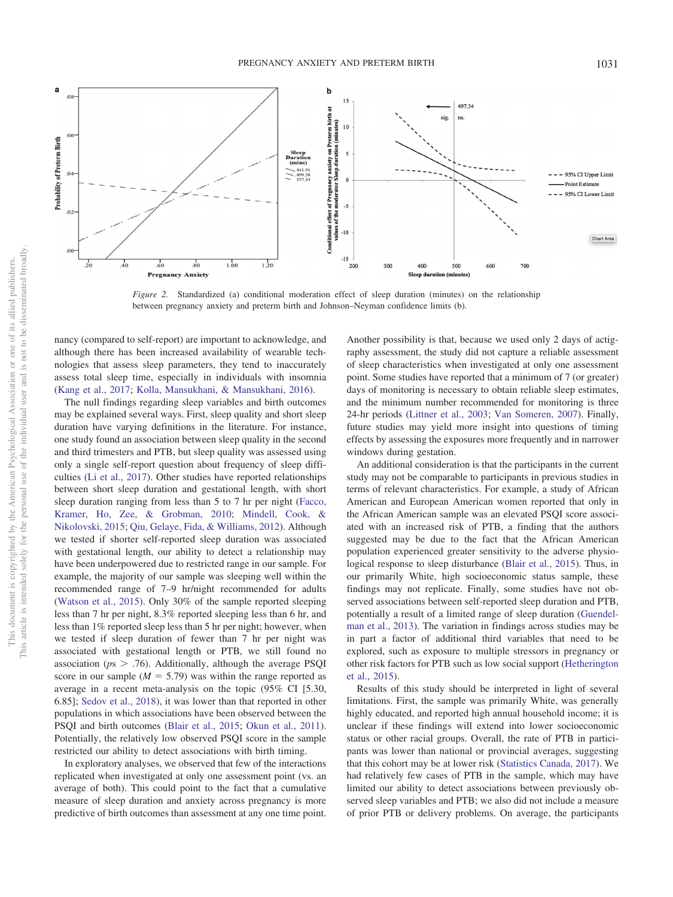

<span id="page-6-0"></span>*Figure 2.* Standardized (a) conditional moderation effect of sleep duration (minutes) on the relationship between pregnancy anxiety and preterm birth and Johnson–Neyman confidence limits (b).

nancy (compared to self-report) are important to acknowledge, and although there has been increased availability of wearable technologies that assess sleep parameters, they tend to inaccurately assess total sleep time, especially in individuals with insomnia [\(Kang et al., 2017;](#page-8-27) [Kolla, Mansukhani, & Mansukhani, 2016\)](#page-8-28).

The null findings regarding sleep variables and birth outcomes may be explained several ways. First, sleep quality and short sleep duration have varying definitions in the literature. For instance, one study found an association between sleep quality in the second and third trimesters and PTB, but sleep quality was assessed using only a single self-report question about frequency of sleep difficulties [\(Li et al., 2017\)](#page-9-13). Other studies have reported relationships between short sleep duration and gestational length, with short sleep duration ranging from less than 5 to 7 hr per night [\(Facco,](#page-8-29) [Kramer, Ho, Zee, & Grobman, 2010;](#page-8-29) [Mindell, Cook, &](#page-9-29) [Nikolovski, 2015;](#page-9-29) [Qiu, Gelaye, Fida, & Williams, 2012\)](#page-9-30). Although we tested if shorter self-reported sleep duration was associated with gestational length, our ability to detect a relationship may have been underpowered due to restricted range in our sample. For example, the majority of our sample was sleeping well within the recommended range of 7–9 hr/night recommended for adults [\(Watson et al., 2015\)](#page-10-11). Only 30% of the sample reported sleeping less than 7 hr per night, 8.3% reported sleeping less than 6 hr, and less than 1% reported sleep less than 5 hr per night; however, when we tested if sleep duration of fewer than 7 hr per night was associated with gestational length or PTB, we still found no association ( $p_s > .76$ ). Additionally, although the average PSQI score in our sample ( $M = 5.79$ ) was within the range reported as average in a recent meta-analysis on the topic (95% CI [5.30, 6.85]; [Sedov et al., 2018\)](#page-9-21), it was lower than that reported in other populations in which associations have been observed between the PSQI and birth outcomes [\(Blair et al., 2015;](#page-7-10) [Okun et al., 2011\)](#page-9-12). Potentially, the relatively low observed PSQI score in the sample restricted our ability to detect associations with birth timing.

In exploratory analyses, we observed that few of the interactions replicated when investigated at only one assessment point (vs. an average of both). This could point to the fact that a cumulative measure of sleep duration and anxiety across pregnancy is more predictive of birth outcomes than assessment at any one time point.

Another possibility is that, because we used only 2 days of actigraphy assessment, the study did not capture a reliable assessment of sleep characteristics when investigated at only one assessment point. Some studies have reported that a minimum of 7 (or greater) days of monitoring is necessary to obtain reliable sleep estimates, and the minimum number recommended for monitoring is three 24-hr periods [\(Littner et al., 2003;](#page-9-31) [Van Someren, 2007\)](#page-10-12). Finally, future studies may yield more insight into questions of timing effects by assessing the exposures more frequently and in narrower windows during gestation.

An additional consideration is that the participants in the current study may not be comparable to participants in previous studies in terms of relevant characteristics. For example, a study of African American and European American women reported that only in the African American sample was an elevated PSQI score associated with an increased risk of PTB, a finding that the authors suggested may be due to the fact that the African American population experienced greater sensitivity to the adverse physiological response to sleep disturbance [\(Blair et al., 2015\)](#page-7-10). Thus, in our primarily White, high socioeconomic status sample, these findings may not replicate. Finally, some studies have not observed associations between self-reported sleep duration and PTB, potentially a result of a limited range of sleep duration [\(Guendel](#page-8-30)[man et al., 2013\)](#page-8-30). The variation in findings across studies may be in part a factor of additional third variables that need to be explored, such as exposure to multiple stressors in pregnancy or other risk factors for PTB such as low social support [\(Hetherington](#page-8-31) [et al., 2015\)](#page-8-31).

Results of this study should be interpreted in light of several limitations. First, the sample was primarily White, was generally highly educated, and reported high annual household income; it is unclear if these findings will extend into lower socioeconomic status or other racial groups. Overall, the rate of PTB in participants was lower than national or provincial averages, suggesting that this cohort may be at lower risk [\(Statistics Canada, 2017\)](#page-9-32). We had relatively few cases of PTB in the sample, which may have limited our ability to detect associations between previously observed sleep variables and PTB; we also did not include a measure of prior PTB or delivery problems. On average, the participants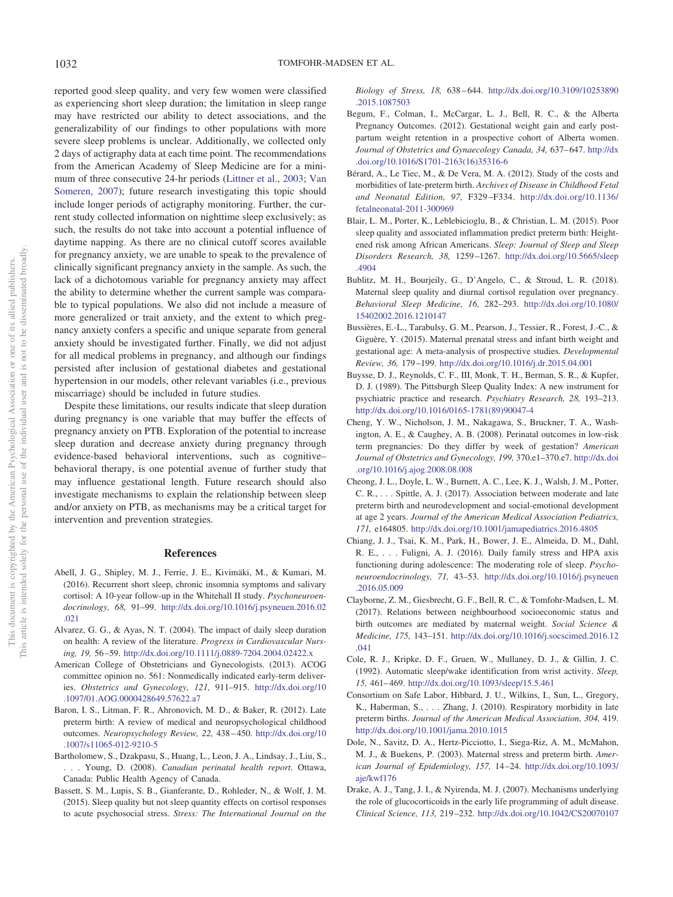reported good sleep quality, and very few women were classified as experiencing short sleep duration; the limitation in sleep range may have restricted our ability to detect associations, and the generalizability of our findings to other populations with more severe sleep problems is unclear. Additionally, we collected only 2 days of actigraphy data at each time point. The recommendations from the American Academy of Sleep Medicine are for a minimum of three consecutive 24-hr periods [\(Littner et al., 2003;](#page-9-31) [Van](#page-10-12) [Someren, 2007\)](#page-10-12); future research investigating this topic should include longer periods of actigraphy monitoring. Further, the current study collected information on nighttime sleep exclusively; as such, the results do not take into account a potential influence of daytime napping. As there are no clinical cutoff scores available for pregnancy anxiety, we are unable to speak to the prevalence of clinically significant pregnancy anxiety in the sample. As such, the lack of a dichotomous variable for pregnancy anxiety may affect the ability to determine whether the current sample was comparable to typical populations. We also did not include a measure of more generalized or trait anxiety, and the extent to which pregnancy anxiety confers a specific and unique separate from general anxiety should be investigated further. Finally, we did not adjust for all medical problems in pregnancy, and although our findings persisted after inclusion of gestational diabetes and gestational hypertension in our models, other relevant variables (i.e., previous miscarriage) should be included in future studies.

Despite these limitations, our results indicate that sleep duration during pregnancy is one variable that may buffer the effects of pregnancy anxiety on PTB. Exploration of the potential to increase sleep duration and decrease anxiety during pregnancy through evidence-based behavioral interventions, such as cognitive– behavioral therapy, is one potential avenue of further study that may influence gestational length. Future research should also investigate mechanisms to explain the relationship between sleep and/or anxiety on PTB, as mechanisms may be a critical target for intervention and prevention strategies.

### **References**

- <span id="page-7-18"></span>Abell, J. G., Shipley, M. J., Ferrie, J. E., Kivimäki, M., & Kumari, M. (2016). Recurrent short sleep, chronic insomnia symptoms and salivary cortisol: A 10-year follow-up in the Whitehall II study. *Psychoneuroendocrinology, 68,* 91–99. [http://dx.doi.org/10.1016/j.psyneuen.2016.02](http://dx.doi.org/10.1016/j.psyneuen.2016.02.021) [.021](http://dx.doi.org/10.1016/j.psyneuen.2016.02.021)
- <span id="page-7-19"></span>Alvarez, G. G., & Ayas, N. T. (2004). The impact of daily sleep duration on health: A review of the literature. *Progress in Cardiovascular Nursing, 19,* 56 –59. <http://dx.doi.org/10.1111/j.0889-7204.2004.02422.x>
- <span id="page-7-6"></span>American College of Obstetricians and Gynecologists. (2013). ACOG committee opinion no. 561: Nonmedically indicated early-term deliveries. *Obstetrics and Gynecology, 121,* 911–915. [http://dx.doi.org/10](http://dx.doi.org/10.1097/01.AOG.0000428649.57622.a7) [.1097/01.AOG.0000428649.57622.a7](http://dx.doi.org/10.1097/01.AOG.0000428649.57622.a7)
- <span id="page-7-2"></span>Baron, I. S., Litman, F. R., Ahronovich, M. D., & Baker, R. (2012). Late preterm birth: A review of medical and neuropsychological childhood outcomes. *Neuropsychology Review, 22,* 438 – 450. [http://dx.doi.org/10](http://dx.doi.org/10.1007/s11065-012-9210-5) [.1007/s11065-012-9210-5](http://dx.doi.org/10.1007/s11065-012-9210-5)
- <span id="page-7-0"></span>Bartholomew, S., Dzakpasu, S., Huang, L., Leon, J. A., Lindsay, J., Liu, S., . . . Young, D. (2008). *Canadian perinatal health report*. Ottawa, Canada: Public Health Agency of Canada.
- <span id="page-7-12"></span>Bassett, S. M., Lupis, S. B., Gianferante, D., Rohleder, N., & Wolf, J. M. (2015). Sleep quality but not sleep quantity effects on cortisol responses to acute psychosocial stress. *Stress: The International Journal on the*

*Biology of Stress, 18,* 638 – 644. [http://dx.doi.org/10.3109/10253890](http://dx.doi.org/10.3109/10253890.2015.1087503) [.2015.1087503](http://dx.doi.org/10.3109/10253890.2015.1087503)

- <span id="page-7-14"></span>Begum, F., Colman, I., McCargar, L. J., Bell, R. C., & the Alberta Pregnancy Outcomes. (2012). Gestational weight gain and early postpartum weight retention in a prospective cohort of Alberta women. Journal of Obstetrics and Gynaecology Canada, 34, 637-647. [http://dx](http://dx.doi.org/10.1016/S1701-2163%2816%2935316-6) [.doi.org/10.1016/S1701-2163\(16\)35316-6](http://dx.doi.org/10.1016/S1701-2163%2816%2935316-6)
- <span id="page-7-3"></span>Bérard, A., Le Tiec, M., & De Vera, M. A. (2012). Study of the costs and morbidities of late-preterm birth. *Archives of Disease in Childhood Fetal and Neonatal Edition, 97,* F329 –F334. [http://dx.doi.org/10.1136/](http://dx.doi.org/10.1136/fetalneonatal-2011-300969) [fetalneonatal-2011-300969](http://dx.doi.org/10.1136/fetalneonatal-2011-300969)
- <span id="page-7-10"></span>Blair, L. M., Porter, K., Leblebicioglu, B., & Christian, L. M. (2015). Poor sleep quality and associated inflammation predict preterm birth: Heightened risk among African Americans. *Sleep: Journal of Sleep and Sleep Disorders Research, 38,* 1259 –1267. [http://dx.doi.org/10.5665/sleep](http://dx.doi.org/10.5665/sleep.4904) [.4904](http://dx.doi.org/10.5665/sleep.4904)
- <span id="page-7-11"></span>Bublitz, M. H., Bourjeily, G., D'Angelo, C., & Stroud, L. R. (2018). Maternal sleep quality and diurnal cortisol regulation over pregnancy. *Behavioral Sleep Medicine, 16,* 282–293. [http://dx.doi.org/10.1080/](http://dx.doi.org/10.1080/15402002.2016.1210147) [15402002.2016.1210147](http://dx.doi.org/10.1080/15402002.2016.1210147)
- <span id="page-7-7"></span>Bussières, E.-L., Tarabulsy, G. M., Pearson, J., Tessier, R., Forest, J.-C., & Giguère, Y. (2015). Maternal prenatal stress and infant birth weight and gestational age: A meta-analysis of prospective studies. *Developmental Review, 36,* 179 –199. <http://dx.doi.org/10.1016/j.dr.2015.04.001>
- <span id="page-7-9"></span>Buysse, D. J., Reynolds, C. F., III, Monk, T. H., Berman, S. R., & Kupfer, D. J. (1989). The Pittsburgh Sleep Quality Index: A new instrument for psychiatric practice and research. *Psychiatry Research, 28,* 193–213. [http://dx.doi.org/10.1016/0165-1781\(89\)90047-4](http://dx.doi.org/10.1016/0165-1781%2889%2990047-4)
- <span id="page-7-4"></span>Cheng, Y. W., Nicholson, J. M., Nakagawa, S., Bruckner, T. A., Washington, A. E., & Caughey, A. B. (2008). Perinatal outcomes in low-risk term pregnancies: Do they differ by week of gestation? *American Journal of Obstetrics and Gynecology, 199,* 370.e1–370.e7. [http://dx.doi](http://dx.doi.org/10.1016/j.ajog.2008.08.008) [.org/10.1016/j.ajog.2008.08.008](http://dx.doi.org/10.1016/j.ajog.2008.08.008)
- <span id="page-7-1"></span>Cheong, J. L., Doyle, L. W., Burnett, A. C., Lee, K. J., Walsh, J. M., Potter, C. R., . . . Spittle, A. J. (2017). Association between moderate and late preterm birth and neurodevelopment and social-emotional development at age 2 years. *Journal of the American Medical Association Pediatrics, 171,* e164805. <http://dx.doi.org/10.1001/jamapediatrics.2016.4805>
- <span id="page-7-13"></span>Chiang, J. J., Tsai, K. M., Park, H., Bower, J. E., Almeida, D. M., Dahl, R. E., . . . Fuligni, A. J. (2016). Daily family stress and HPA axis functioning during adolescence: The moderating role of sleep. *Psychoneuroendocrinology, 71,* 43–53. [http://dx.doi.org/10.1016/j.psyneuen](http://dx.doi.org/10.1016/j.psyneuen.2016.05.009) [.2016.05.009](http://dx.doi.org/10.1016/j.psyneuen.2016.05.009)
- <span id="page-7-15"></span>Clayborne, Z. M., Giesbrecht, G. F., Bell, R. C., & Tomfohr-Madsen, L. M. (2017). Relations between neighbourhood socioeconomic status and birth outcomes are mediated by maternal weight. *Social Science & Medicine, 175,* 143–151. [http://dx.doi.org/10.1016/j.socscimed.2016.12](http://dx.doi.org/10.1016/j.socscimed.2016.12.041) [.041](http://dx.doi.org/10.1016/j.socscimed.2016.12.041)
- <span id="page-7-16"></span>Cole, R. J., Kripke, D. F., Gruen, W., Mullaney, D. J., & Gillin, J. C. (1992). Automatic sleep/wake identification from wrist activity. *Sleep, 15,* 461– 469. <http://dx.doi.org/10.1093/sleep/15.5.461>
- <span id="page-7-5"></span>Consortium on Safe Labor, Hibbard, J. U., Wilkins, I., Sun, L., Gregory, K., Haberman, S.,... Zhang, J. (2010). Respiratory morbidity in late preterm births. *Journal of the American Medical Association, 304,* 419. <http://dx.doi.org/10.1001/jama.2010.1015>
- <span id="page-7-8"></span>Dole, N., Savitz, D. A., Hertz-Picciotto, I., Siega-Riz, A. M., McMahon, M. J., & Buekens, P. (2003). Maternal stress and preterm birth. *American Journal of Epidemiology, 157,* 14 –24. [http://dx.doi.org/10.1093/](http://dx.doi.org/10.1093/aje/kwf176) [aje/kwf176](http://dx.doi.org/10.1093/aje/kwf176)
- <span id="page-7-17"></span>Drake, A. J., Tang, J. I., & Nyirenda, M. J. (2007). Mechanisms underlying the role of glucocorticoids in the early life programming of adult disease. *Clinical Science, 113,* 219 –232. <http://dx.doi.org/10.1042/CS20070107>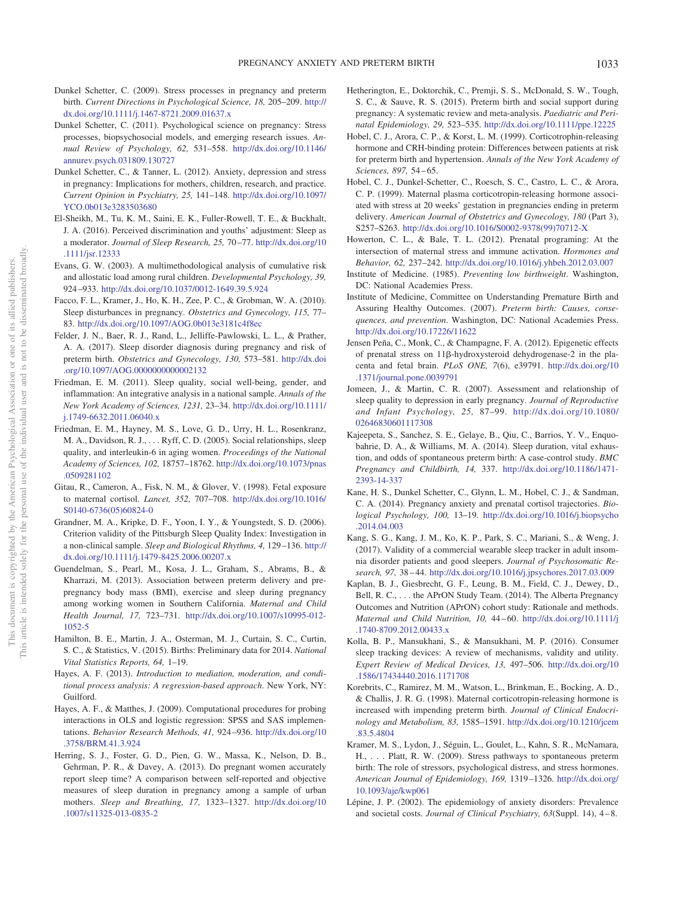- <span id="page-8-3"></span>Dunkel Schetter, C. (2009). Stress processes in pregnancy and preterm birth. *Current Directions in Psychological Science, 18,* 205–209. [http://](http://dx.doi.org/10.1111/j.1467-8721.2009.01637.x) [dx.doi.org/10.1111/j.1467-8721.2009.01637.x](http://dx.doi.org/10.1111/j.1467-8721.2009.01637.x)
- <span id="page-8-4"></span>Dunkel Schetter, C. (2011). Psychological science on pregnancy: Stress processes, biopsychosocial models, and emerging research issues. *Annual Review of Psychology, 62,* 531–558. [http://dx.doi.org/10.1146/](http://dx.doi.org/10.1146/annurev.psych.031809.130727) [annurev.psych.031809.130727](http://dx.doi.org/10.1146/annurev.psych.031809.130727)
- <span id="page-8-2"></span>Dunkel Schetter, C., & Tanner, L. (2012). Anxiety, depression and stress in pregnancy: Implications for mothers, children, research, and practice. *Current Opinion in Psychiatry, 25,* 141–148. [http://dx.doi.org/10.1097/](http://dx.doi.org/10.1097/YCO.0b013e3283503680) [YCO.0b013e3283503680](http://dx.doi.org/10.1097/YCO.0b013e3283503680)
- <span id="page-8-9"></span>El-Sheikh, M., Tu, K. M., Saini, E. K., Fuller-Rowell, T. E., & Buckhalt, J. A. (2016). Perceived discrimination and youths' adjustment: Sleep as a moderator. *Journal of Sleep Research, 25,* 70 –77. [http://dx.doi.org/10](http://dx.doi.org/10.1111/jsr.12333) [.1111/jsr.12333](http://dx.doi.org/10.1111/jsr.12333)
- <span id="page-8-10"></span>Evans, G. W. (2003). A multimethodological analysis of cumulative risk and allostatic load among rural children. *Developmental Psychology, 39,* 924 –933. <http://dx.doi.org/10.1037/0012-1649.39.5.924>
- <span id="page-8-29"></span>Facco, F. L., Kramer, J., Ho, K. H., Zee, P. C., & Grobman, W. A. (2010). Sleep disturbances in pregnancy. *Obstetrics and Gynecology, 115,* 77– 83. <http://dx.doi.org/10.1097/AOG.0b013e3181c4f8ec>
- <span id="page-8-6"></span>Felder, J. N., Baer, R. J., Rand, L., Jelliffe-Pawlowski, L. L., & Prather, A. A. (2017). Sleep disorder diagnosis during pregnancy and risk of preterm birth. *Obstetrics and Gynecology, 130,* 573–581. [http://dx.doi](http://dx.doi.org/10.1097/AOG.0000000000002132) [.org/10.1097/AOG.0000000000002132](http://dx.doi.org/10.1097/AOG.0000000000002132)
- <span id="page-8-11"></span>Friedman, E. M. (2011). Sleep quality, social well-being, gender, and inflammation: An integrative analysis in a national sample. *Annals of the New York Academy of Sciences, 1231,* 23–34. [http://dx.doi.org/10.1111/](http://dx.doi.org/10.1111/j.1749-6632.2011.06040.x) [j.1749-6632.2011.06040.x](http://dx.doi.org/10.1111/j.1749-6632.2011.06040.x)
- <span id="page-8-12"></span>Friedman, E. M., Hayney, M. S., Love, G. D., Urry, H. L., Rosenkranz, M. A., Davidson, R. J.,... Ryff, C. D. (2005). Social relationships, sleep quality, and interleukin-6 in aging women. *Proceedings of the National Academy of Sciences, 102,* 18757–18762. [http://dx.doi.org/10.1073/pnas](http://dx.doi.org/10.1073/pnas.0509281102) [.0509281102](http://dx.doi.org/10.1073/pnas.0509281102)
- <span id="page-8-21"></span>Gitau, R., Cameron, A., Fisk, N. M., & Glover, V. (1998). Fetal exposure to maternal cortisol. *Lancet, 352,* 707–708. [http://dx.doi.org/10.1016/](http://dx.doi.org/10.1016/S0140-6736%2805%2960824-0) [S0140-6736\(05\)60824-0](http://dx.doi.org/10.1016/S0140-6736%2805%2960824-0)
- <span id="page-8-26"></span>Grandner, M. A., Kripke, D. F., Yoon, I. Y., & Youngstedt, S. D. (2006). Criterion validity of the Pittsburgh Sleep Quality Index: Investigation in a non-clinical sample. *Sleep and Biological Rhythms, 4,* 129 –136. [http://](http://dx.doi.org/10.1111/j.1479-8425.2006.00207.x) [dx.doi.org/10.1111/j.1479-8425.2006.00207.x](http://dx.doi.org/10.1111/j.1479-8425.2006.00207.x)
- <span id="page-8-30"></span>Guendelman, S., Pearl, M., Kosa, J. L., Graham, S., Abrams, B., & Kharrazi, M. (2013). Association between preterm delivery and prepregnancy body mass (BMI), exercise and sleep during pregnancy among working women in Southern California. *Maternal and Child Health Journal, 17,* 723–731. [http://dx.doi.org/10.1007/s10995-012-](http://dx.doi.org/10.1007/s10995-012-1052-5) [1052-5](http://dx.doi.org/10.1007/s10995-012-1052-5)
- <span id="page-8-0"></span>Hamilton, B. E., Martin, J. A., Osterman, M. J., Curtain, S. C., Curtin, S. C., & Statistics, V. (2015). Births: Preliminary data for 2014. *National Vital Statistics Reports, 64,* 1–19.
- <span id="page-8-17"></span>Hayes, A. F. (2013). *Introduction to mediation, moderation, and conditional process analysis: A regression-based approach*. New York, NY: Guilford.
- <span id="page-8-18"></span>Hayes, A. F., & Matthes, J. (2009). Computational procedures for probing interactions in OLS and logistic regression: SPSS and SAS implementations. *Behavior Research Methods, 41,* 924 –936. [http://dx.doi.org/10](http://dx.doi.org/10.3758/BRM.41.3.924) [.3758/BRM.41.3.924](http://dx.doi.org/10.3758/BRM.41.3.924)
- <span id="page-8-25"></span>Herring, S. J., Foster, G. D., Pien, G. W., Massa, K., Nelson, D. B., Gehrman, P. R., & Davey, A. (2013). Do pregnant women accurately report sleep time? A comparison between self-reported and objective measures of sleep duration in pregnancy among a sample of urban mothers. *Sleep and Breathing, 17,* 1323–1327. [http://dx.doi.org/10](http://dx.doi.org/10.1007/s11325-013-0835-2) [.1007/s11325-013-0835-2](http://dx.doi.org/10.1007/s11325-013-0835-2)
- <span id="page-8-31"></span>Hetherington, E., Doktorchik, C., Premji, S. S., McDonald, S. W., Tough, S. C., & Sauve, R. S. (2015). Preterm birth and social support during pregnancy: A systematic review and meta-analysis. *Paediatric and Perinatal Epidemiology, 29,* 523–535. <http://dx.doi.org/10.1111/ppe.12225>
- <span id="page-8-24"></span>Hobel, C. J., Arora, C. P., & Korst, L. M. (1999). Corticotrophin-releasing hormone and CRH-binding protein: Differences between patients at risk for preterm birth and hypertension. *Annals of the New York Academy of Sciences, 897,* 54 – 65.
- <span id="page-8-22"></span>Hobel, C. J., Dunkel-Schetter, C., Roesch, S. C., Castro, L. C., & Arora, C. P. (1999). Maternal plasma corticotropin-releasing hormone associated with stress at 20 weeks' gestation in pregnancies ending in preterm delivery. *American Journal of Obstetrics and Gynecology, 180* (Part 3), S257–S263. [http://dx.doi.org/10.1016/S0002-9378\(99\)70712-X](http://dx.doi.org/10.1016/S0002-9378%2899%2970712-X)
- <span id="page-8-19"></span>Howerton, C. L., & Bale, T. L. (2012). Prenatal programing: At the intersection of maternal stress and immune activation. *Hormones and Behavior, 62,* 237–242. <http://dx.doi.org/10.1016/j.yhbeh.2012.03.007>
- <span id="page-8-16"></span>Institute of Medicine. (1985). *Preventing low birthweight*. Washington, DC: National Academies Press.
- <span id="page-8-1"></span>Institute of Medicine, Committee on Understanding Premature Birth and Assuring Healthy Outcomes. (2007). *Preterm birth: Causes, consequences, and prevention*. Washington, DC: National Academies Press. <http://dx.doi.org/10.17226/11622>
- <span id="page-8-20"></span>Jensen Peña, C., Monk, C., & Champagne, F. A. (2012). Epigenetic effects of prenatal stress on 11ß-hydroxysteroid dehydrogenase-2 in the placenta and fetal brain. *PLoS ONE, 7*(6), e39791. [http://dx.doi.org/10](http://dx.doi.org/10.1371/journal.pone.0039791) [.1371/journal.pone.0039791](http://dx.doi.org/10.1371/journal.pone.0039791)
- <span id="page-8-15"></span>Jomeen, J., & Martin, C. R. (2007). Assessment and relationship of sleep quality to depression in early pregnancy. *Journal of Reproductive and Infant Psychology, 25,* 87–99. [http://dx.doi.org/10.1080/](http://dx.doi.org/10.1080/02646830601117308) [02646830601117308](http://dx.doi.org/10.1080/02646830601117308)
- <span id="page-8-7"></span>Kajeepeta, S., Sanchez, S. E., Gelaye, B., Qiu, C., Barrios, Y. V., Enquobahrie, D. A., & Williams, M. A. (2014). Sleep duration, vital exhaustion, and odds of spontaneous preterm birth: A case-control study. *BMC Pregnancy and Childbirth, 14,* 337. [http://dx.doi.org/10.1186/1471-](http://dx.doi.org/10.1186/1471-2393-14-337) [2393-14-337](http://dx.doi.org/10.1186/1471-2393-14-337)
- <span id="page-8-14"></span>Kane, H. S., Dunkel Schetter, C., Glynn, L. M., Hobel, C. J., & Sandman, C. A. (2014). Pregnancy anxiety and prenatal cortisol trajectories. *Biological Psychology, 100,* 13–19. [http://dx.doi.org/10.1016/j.biopsycho](http://dx.doi.org/10.1016/j.biopsycho.2014.04.003) [.2014.04.003](http://dx.doi.org/10.1016/j.biopsycho.2014.04.003)
- <span id="page-8-27"></span>Kang, S. G., Kang, J. M., Ko, K. P., Park, S. C., Mariani, S., & Weng, J. (2017). Validity of a commercial wearable sleep tracker in adult insomnia disorder patients and good sleepers. *Journal of Psychosomatic Research, 97,* 38 – 44. <http://dx.doi.org/10.1016/j.jpsychores.2017.03.009>
- <span id="page-8-13"></span>Kaplan, B. J., Giesbrecht, G. F., Leung, B. M., Field, C. J., Dewey, D., Bell, R. C., . . . the APrON Study Team. (2014). The Alberta Pregnancy Outcomes and Nutrition (APrON) cohort study: Rationale and methods. *Maternal and Child Nutrition, 10,* 44 – 60. [http://dx.doi.org/10.1111/j](http://dx.doi.org/10.1111/j.1740-8709.2012.00433.x) [.1740-8709.2012.00433.x](http://dx.doi.org/10.1111/j.1740-8709.2012.00433.x)
- <span id="page-8-28"></span>Kolla, B. P., Mansukhani, S., & Mansukhani, M. P. (2016). Consumer sleep tracking devices: A review of mechanisms, validity and utility. *Expert Review of Medical Devices, 13,* 497–506. [http://dx.doi.org/10](http://dx.doi.org/10.1586/17434440.2016.1171708) [.1586/17434440.2016.1171708](http://dx.doi.org/10.1586/17434440.2016.1171708)
- <span id="page-8-23"></span>Korebrits, C., Ramirez, M. M., Watson, L., Brinkman, E., Bocking, A. D., & Challis, J. R. G. (1998). Maternal corticotropin-releasing hormone is increased with impending preterm birth. *Journal of Clinical Endocrinology and Metabolism, 83,* 1585–1591. [http://dx.doi.org/10.1210/jcem](http://dx.doi.org/10.1210/jcem.83.5.4804) [.83.5.4804](http://dx.doi.org/10.1210/jcem.83.5.4804)
- <span id="page-8-5"></span>Kramer, M. S., Lydon, J., Séguin, L., Goulet, L., Kahn, S. R., McNamara, H., . . . Platt, R. W. (2009). Stress pathways to spontaneous preterm birth: The role of stressors, psychological distress, and stress hormones. *American Journal of Epidemiology, 169,* 1319 –1326. [http://dx.doi.org/](http://dx.doi.org/10.1093/aje/kwp061) [10.1093/aje/kwp061](http://dx.doi.org/10.1093/aje/kwp061)
- <span id="page-8-8"></span>Lépine, J. P. (2002). The epidemiology of anxiety disorders: Prevalence and societal costs. *Journal of Clinical Psychiatry, 63*(Suppl. 14), 4 – 8.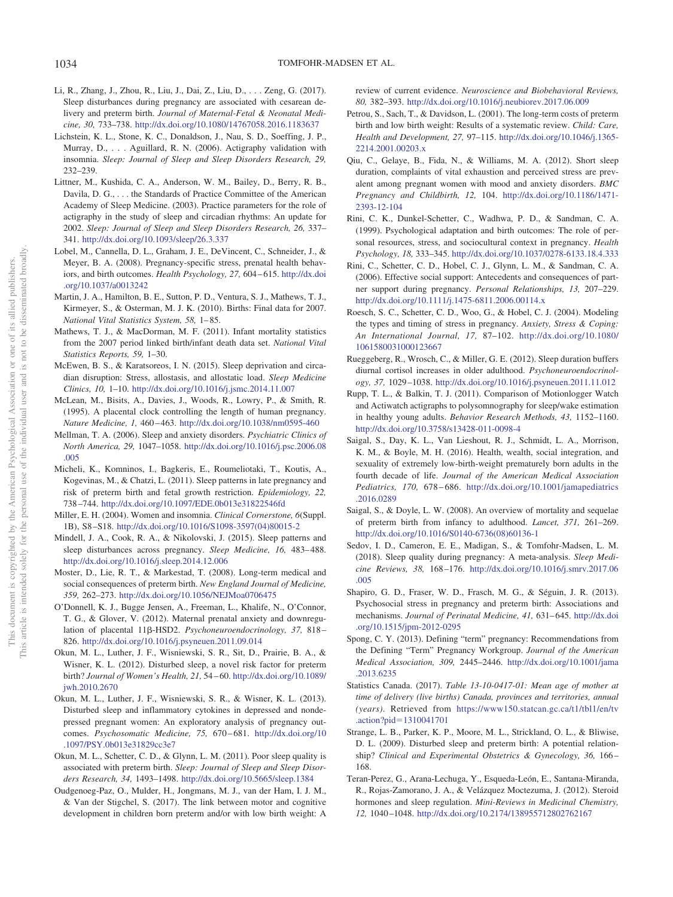- <span id="page-9-13"></span>Li, R., Zhang, J., Zhou, R., Liu, J., Dai, Z., Liu, D.,... Zeng, G. (2017). Sleep disturbances during pregnancy are associated with cesarean delivery and preterm birth. *Journal of Maternal-Fetal & Neonatal Medicine, 30,* 733–738. <http://dx.doi.org/10.1080/14767058.2016.1183637>
- <span id="page-9-22"></span>Lichstein, K. L., Stone, K. C., Donaldson, J., Nau, S. D., Soeffing, J. P., Murray, D.,... Aguillard, R. N. (2006). Actigraphy validation with insomnia. *Sleep: Journal of Sleep and Sleep Disorders Research, 29,* 232–239.
- <span id="page-9-31"></span>Littner, M., Kushida, C. A., Anderson, W. M., Bailey, D., Berry, R. B., Davila, D. G., . . . the Standards of Practice Committee of the American Academy of Sleep Medicine. (2003). Practice parameters for the role of actigraphy in the study of sleep and circadian rhythms: An update for 2002. *Sleep: Journal of Sleep and Sleep Disorders Research, 26,* 337– 341. <http://dx.doi.org/10.1093/sleep/26.3.337>
- <span id="page-9-9"></span>Lobel, M., Cannella, D. L., Graham, J. E., DeVincent, C., Schneider, J., & Meyer, B. A. (2008). Pregnancy-specific stress, prenatal health behaviors, and birth outcomes. *Health Psychology, 27,* 604 – 615. [http://dx.doi](http://dx.doi.org/10.1037/a0013242) [.org/10.1037/a0013242](http://dx.doi.org/10.1037/a0013242)
- <span id="page-9-0"></span>Martin, J. A., Hamilton, B. E., Sutton, P. D., Ventura, S. J., Mathews, T. J., Kirmeyer, S., & Osterman, M. J. K. (2010). Births: Final data for 2007. *National Vital Statistics System, 58,* 1– 85.
- <span id="page-9-1"></span>Mathews, T. J., & MacDorman, M. F. (2011). Infant mortality statistics from the 2007 period linked birth/infant death data set. *National Vital Statistics Reports, 59,* 1–30.
- <span id="page-9-18"></span>McEwen, B. S., & Karatsoreos, I. N. (2015). Sleep deprivation and circadian disruption: Stress, allostasis, and allostatic load. *Sleep Medicine Clinics, 10,* 1–10. <http://dx.doi.org/10.1016/j.jsmc.2014.11.007>
- <span id="page-9-24"></span>McLean, M., Bisits, A., Davies, J., Woods, R., Lowry, P., & Smith, R. (1995). A placental clock controlling the length of human pregnancy. *Nature Medicine, 1,* 460 – 463. <http://dx.doi.org/10.1038/nm0595-460>
- <span id="page-9-17"></span>Mellman, T. A. (2006). Sleep and anxiety disorders. *Psychiatric Clinics of North America, 29,* 1047–1058. [http://dx.doi.org/10.1016/j.psc.2006.08](http://dx.doi.org/10.1016/j.psc.2006.08.005) [.005](http://dx.doi.org/10.1016/j.psc.2006.08.005)
- <span id="page-9-11"></span>Micheli, K., Komninos, I., Bagkeris, E., Roumeliotaki, T., Koutis, A., Kogevinas, M., & Chatzi, L. (2011). Sleep patterns in late pregnancy and risk of preterm birth and fetal growth restriction. *Epidemiology, 22,* 738 –744. <http://dx.doi.org/10.1097/EDE.0b013e31822546fd>
- <span id="page-9-26"></span>Miller, E. H. (2004). Women and insomnia. *Clinical Cornerstone, 6*(Suppl. 1B), S8 –S18. [http://dx.doi.org/10.1016/S1098-3597\(04\)80015-2](http://dx.doi.org/10.1016/S1098-3597%2804%2980015-2)
- <span id="page-9-29"></span>Mindell, J. A., Cook, R. A., & Nikolovski, J. (2015). Sleep patterns and sleep disturbances across pregnancy. *Sleep Medicine*, 16, 483-488. <http://dx.doi.org/10.1016/j.sleep.2014.12.006>
- <span id="page-9-3"></span>Moster, D., Lie, R. T., & Markestad, T. (2008). Long-term medical and social consequences of preterm birth. *New England Journal of Medicine, 359,* 262–273. <http://dx.doi.org/10.1056/NEJMoa0706475>
- <span id="page-9-25"></span>O'Donnell, K. J., Bugge Jensen, A., Freeman, L., Khalife, N., O'Connor, T. G., & Glover, V. (2012). Maternal prenatal anxiety and downregulation of placental 11ß-HSD2. *Psychoneuroendocrinology, 37, 818*-826. <http://dx.doi.org/10.1016/j.psyneuen.2011.09.014>
- <span id="page-9-14"></span>Okun, M. L., Luther, J. F., Wisniewski, S. R., Sit, D., Prairie, B. A., & Wisner, K. L. (2012). Disturbed sleep, a novel risk factor for preterm birth? *Journal of Women's Health, 21,* 54 – 60. [http://dx.doi.org/10.1089/](http://dx.doi.org/10.1089/jwh.2010.2670) [jwh.2010.2670](http://dx.doi.org/10.1089/jwh.2010.2670)
- <span id="page-9-16"></span>Okun, M. L., Luther, J. F., Wisniewski, S. R., & Wisner, K. L. (2013). Disturbed sleep and inflammatory cytokines in depressed and nondepressed pregnant women: An exploratory analysis of pregnancy outcomes. *Psychosomatic Medicine, 75,* 670 – 681. [http://dx.doi.org/10](http://dx.doi.org/10.1097/PSY.0b013e31829cc3e7) [.1097/PSY.0b013e31829cc3e7](http://dx.doi.org/10.1097/PSY.0b013e31829cc3e7)
- <span id="page-9-12"></span>Okun, M. L., Schetter, C. D., & Glynn, L. M. (2011). Poor sleep quality is associated with preterm birth. *Sleep: Journal of Sleep and Sleep Disorders Research, 34,* 1493–1498. <http://dx.doi.org/10.5665/sleep.1384>
- <span id="page-9-2"></span>Oudgenoeg-Paz, O., Mulder, H., Jongmans, M. J., van der Ham, I. J. M., & Van der Stigchel, S. (2017). The link between motor and cognitive development in children born preterm and/or with low birth weight: A

review of current evidence. *Neuroscience and Biobehavioral Reviews, 80,* 382–393. <http://dx.doi.org/10.1016/j.neubiorev.2017.06.009>

- <span id="page-9-6"></span>Petrou, S., Sach, T., & Davidson, L. (2001). The long-term costs of preterm birth and low birth weight: Results of a systematic review. *Child: Care, Health and Development, 27,* 97–115. [http://dx.doi.org/10.1046/j.1365-](http://dx.doi.org/10.1046/j.1365-2214.2001.00203.x) [2214.2001.00203.x](http://dx.doi.org/10.1046/j.1365-2214.2001.00203.x)
- <span id="page-9-30"></span>Qiu, C., Gelaye, B., Fida, N., & Williams, M. A. (2012). Short sleep duration, complaints of vital exhaustion and perceived stress are prevalent among pregnant women with mood and anxiety disorders. *BMC Pregnancy and Childbirth, 12,* 104. [http://dx.doi.org/10.1186/1471-](http://dx.doi.org/10.1186/1471-2393-12-104) [2393-12-104](http://dx.doi.org/10.1186/1471-2393-12-104)
- <span id="page-9-19"></span>Rini, C. K., Dunkel-Schetter, C., Wadhwa, P. D., & Sandman, C. A. (1999). Psychological adaptation and birth outcomes: The role of personal resources, stress, and sociocultural context in pregnancy. *Health Psychology, 18,* 333–345. <http://dx.doi.org/10.1037/0278-6133.18.4.333>
- <span id="page-9-20"></span>Rini, C., Schetter, C. D., Hobel, C. J., Glynn, L. M., & Sandman, C. A. (2006). Effective social support: Antecedents and consequences of partner support during pregnancy. *Personal Relationships, 13,* 207–229. <http://dx.doi.org/10.1111/j.1475-6811.2006.00114.x>
- <span id="page-9-10"></span>Roesch, S. C., Schetter, C. D., Woo, G., & Hobel, C. J. (2004). Modeling the types and timing of stress in pregnancy. *Anxiety, Stress & Coping: An International Journal, 17,* 87–102. [http://dx.doi.org/10.1080/](http://dx.doi.org/10.1080/1061580031000123667) [1061580031000123667](http://dx.doi.org/10.1080/1061580031000123667)
- <span id="page-9-28"></span>Rueggeberg, R., Wrosch, C., & Miller, G. E. (2012). Sleep duration buffers diurnal cortisol increases in older adulthood. *Psychoneuroendocrinology, 37,* 1029 –1038. <http://dx.doi.org/10.1016/j.psyneuen.2011.11.012>
- <span id="page-9-23"></span>Rupp, T. L., & Balkin, T. J. (2011). Comparison of Motionlogger Watch and Actiwatch actigraphs to polysomnography for sleep/wake estimation in healthy young adults. *Behavior Research Methods, 43,* 1152–1160. <http://dx.doi.org/10.3758/s13428-011-0098-4>
- <span id="page-9-7"></span>Saigal, S., Day, K. L., Van Lieshout, R. J., Schmidt, L. A., Morrison, K. M., & Boyle, M. H. (2016). Health, wealth, social integration, and sexuality of extremely low-birth-weight prematurely born adults in the fourth decade of life. *Journal of the American Medical Association Pediatrics, 170,* 678 – 686. [http://dx.doi.org/10.1001/jamapediatrics](http://dx.doi.org/10.1001/jamapediatrics.2016.0289) [.2016.0289](http://dx.doi.org/10.1001/jamapediatrics.2016.0289)
- <span id="page-9-4"></span>Saigal, S., & Doyle, L. W. (2008). An overview of mortality and sequelae of preterm birth from infancy to adulthood. *Lancet, 371,* 261–269. [http://dx.doi.org/10.1016/S0140-6736\(08\)60136-1](http://dx.doi.org/10.1016/S0140-6736%2808%2960136-1)
- <span id="page-9-21"></span>Sedov, I. D., Cameron, E. E., Madigan, S., & Tomfohr-Madsen, L. M. (2018). Sleep quality during pregnancy: A meta-analysis. *Sleep Medicine Reviews, 38,* 168 –176. [http://dx.doi.org/10.1016/j.smrv.2017.06](http://dx.doi.org/10.1016/j.smrv.2017.06.005) [.005](http://dx.doi.org/10.1016/j.smrv.2017.06.005)
- <span id="page-9-8"></span>Shapiro, G. D., Fraser, W. D., Frasch, M. G., & Séguin, J. R. (2013). Psychosocial stress in pregnancy and preterm birth: Associations and mechanisms. *Journal of Perinatal Medicine, 41,* 631– 645. [http://dx.doi](http://dx.doi.org/10.1515/jpm-2012-0295) [.org/10.1515/jpm-2012-0295](http://dx.doi.org/10.1515/jpm-2012-0295)
- <span id="page-9-5"></span>Spong, C. Y. (2013). Defining "term" pregnancy: Recommendations from the Defining "Term" Pregnancy Workgroup. *Journal of the American Medical Association, 309,* 2445–2446. [http://dx.doi.org/10.1001/jama](http://dx.doi.org/10.1001/jama.2013.6235) [.2013.6235](http://dx.doi.org/10.1001/jama.2013.6235)
- <span id="page-9-32"></span>Statistics Canada. (2017). *Table 13-10-0417-01: Mean age of mother at time of delivery (live births) Canada, provinces and territories, annual (years)*. Retrieved from [https://www150.statcan.gc.ca/t1/tbl1/en/tv](https://www150.statcan.gc.ca/t1/tbl1/en/tv.action?pid=1310041701) .action?pid=[1310041701](https://www150.statcan.gc.ca/t1/tbl1/en/tv.action?pid=1310041701)
- <span id="page-9-15"></span>Strange, L. B., Parker, K. P., Moore, M. L., Strickland, O. L., & Bliwise, D. L. (2009). Disturbed sleep and preterm birth: A potential relationship? *Clinical and Experimental Obstetrics & Gynecology, 36,* 166 – 168.
- <span id="page-9-27"></span>Teran-Perez, G., Arana-Lechuga, Y., Esqueda-León, E., Santana-Miranda, R., Rojas-Zamorano, J. A., & Velázquez Moctezuma, J. (2012). Steroid hormones and sleep regulation. *Mini-Reviews in Medicinal Chemistry, 12,* 1040 –1048. <http://dx.doi.org/10.2174/138955712802762167>